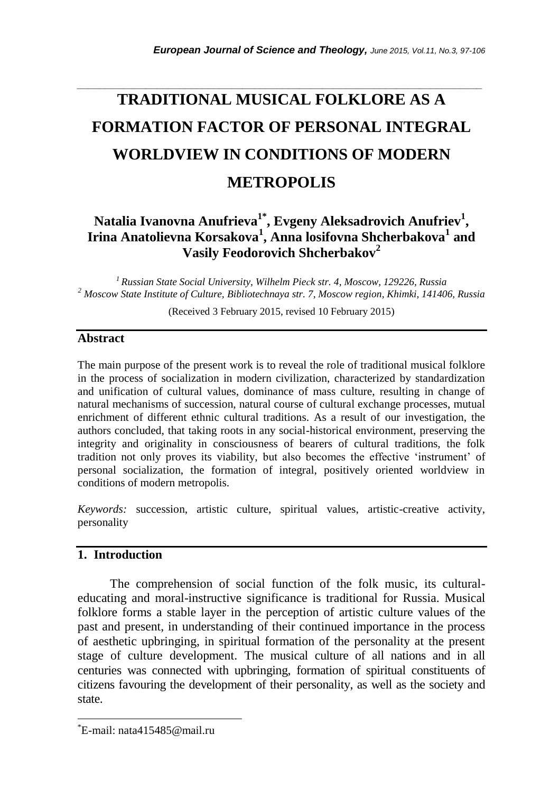# **TRADITIONAL MUSICAL FOLKLORE AS A FORMATION FACTOR OF PERSONAL INTEGRAL WORLDVIEW IN CONDITIONS OF MODERN METROPOLIS**

*\_\_\_\_\_\_\_\_\_\_\_\_\_\_\_\_\_\_\_\_\_\_\_\_\_\_\_\_\_\_\_\_\_\_\_\_\_\_\_\_\_\_\_\_\_\_\_\_\_\_\_\_\_\_\_\_\_\_\_\_\_\_\_\_\_\_\_\_\_\_\_*

## **Natalia Ivanovna Anufrieva1\* , Evgeny Aleksadrovich Anufriev<sup>1</sup> , Irina Anatolievna Korsakova<sup>1</sup> , Anna losifovna Shcherbakova<sup>1</sup> and Vasily Feodorovich Shcherbakov<sup>2</sup>**

*<sup>1</sup>Russian State Social University, Wilhelm Pieсk str. 4, Moscow, 129226, Russia <sup>2</sup> Moscow State Institute of Culture, Bibliotechnaya str. 7, Moscow region, Khimki, 141406, Russia*

(Received 3 February 2015, revised 10 February 2015)

#### **Abstract**

The main purpose of the present work is to reveal the role of traditional musical folklore in the process of socialization in modern civilization, characterized by standardization and unification of cultural values, dominance of mass culture, resulting in change of natural mechanisms of succession, natural course of cultural exchange processes, mutual enrichment of different ethnic cultural traditions. As a result of our investigation, the authors concluded, that taking roots in any social-historical environment, preserving the integrity and originality in consciousness of bearers of cultural traditions, the folk tradition not only proves its viability, but also becomes the effective "instrument" of personal socialization, the formation of integral, positively oriented worldview in conditions of modern metropolis.

*Keywords:* succession, artistic culture, spiritual values, artistic-creative activity, personality

## **1. Introduction**

The comprehension of social function of the folk music, its culturaleducating and moral-instructive significance is traditional for Russia. Musical folklore forms a stable layer in the perception of artistic culture values of the past and present, in understanding of their continued importance in the process of aesthetic upbringing, in spiritual formation of the personality at the present stage of culture development. The musical culture of all nations and in all centuries was connected with upbringing, formation of spiritual constituents of citizens favouring the development of their personality, as well as the society and state.

l

<sup>\*</sup>E-mail: nata415485@mail.ru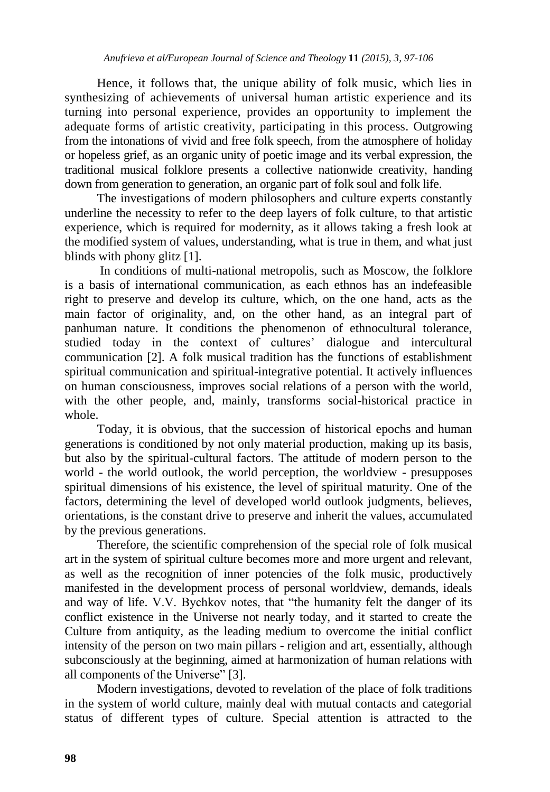Hence, it follows that, the unique ability of folk music, which lies in synthesizing of achievements of universal human artistic experience and its turning into personal experience, provides an opportunity to implement the adequate forms of artistic creativity, participating in this process. Outgrowing from the intonations of vivid and free folk speech, from the atmosphere of holiday or hopeless grief, as an organic unity of poetic image and its verbal expression, the traditional musical folklore presents a collective nationwide creativity, handing down from generation to generation, an organic part of folk soul and folk life.

The investigations of modern philosophers and culture experts constantly underline the necessity to refer to the deep layers of folk culture, to that artistic experience, which is required for modernity, as it allows taking a fresh look at the modified system of values, understanding, what is true in them, and what just blinds with phony glitz [1].

In conditions of multi-national metropolis, such as Moscow, the folklore is a basis of international communication, as each ethnos has an indefeasible right to preserve and develop its culture, which, on the one hand, acts as the main factor of originality, and, on the other hand, as an integral part of panhuman nature. It conditions the phenomenon of ethnocultural tolerance, studied today in the context of cultures' dialogue and intercultural communication [2]. A folk musical tradition has the functions of establishment spiritual communication and spiritual-integrative potential. It actively influences on human consciousness, improves social relations of a person with the world, with the other people, and, mainly, transforms social-historical practice in whole.

Today, it is obvious, that the succession of historical epochs and human generations is conditioned by not only material production, making up its basis, but also by the spiritual-cultural factors. The attitude of modern person to the world - the world outlook, the world perception, the worldview - presupposes spiritual dimensions of his existence, the level of spiritual maturity. One of the factors, determining the level of developed world outlook judgments, believes, orientations, is the constant drive to preserve and inherit the values, accumulated by the previous generations.

Therefore, the scientific comprehension of the special role of folk musical art in the system of spiritual culture becomes more and more urgent and relevant, as well as the recognition of inner potencies of the folk music, productively manifested in the development process of personal worldview, demands, ideals and way of life. V.V. Bychkov notes, that "the humanity felt the danger of its conflict existence in the Universe not nearly today, and it started to create the Culture from antiquity, as the leading medium to overcome the initial conflict intensity of the person on two main pillars - religion and art, essentially, although subconsciously at the beginning, aimed at harmonization of human relations with all components of the Universe" [3].

Modern investigations, devoted to revelation of the place of folk traditions in the system of world culture, mainly deal with mutual contacts and categorial status of different types of culture. Special attention is attracted to the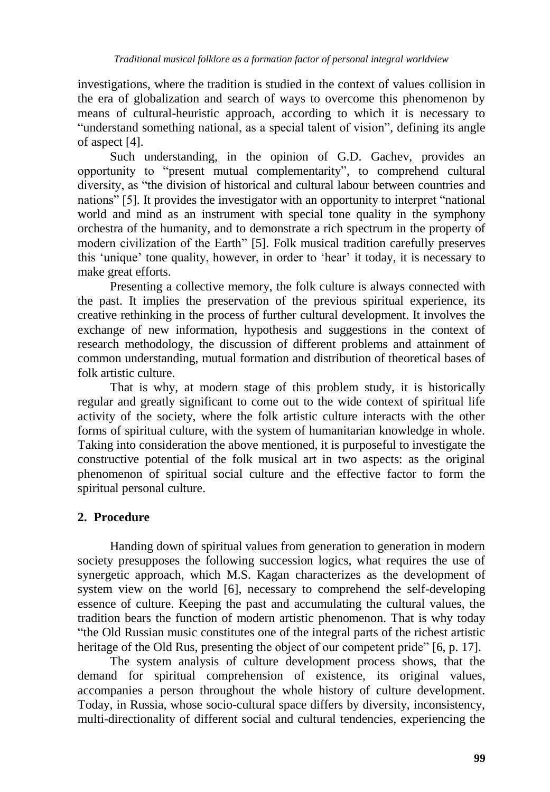investigations, where the tradition is studied in the context of values collision in the era of globalization and search of ways to overcome this phenomenon by means of cultural-heuristic approach, according to which it is necessary to "understand something national, as a special talent of vision", defining its angle of aspect [4].

Such understanding, in the opinion of G.D. Gachev, provides an opportunity to "present mutual complementarity", to comprehend cultural diversity, as "the division of historical and cultural labour between countries and nations" [5]. It provides the investigator with an opportunity to interpret "national world and mind as an instrument with special tone quality in the symphony orchestra of the humanity, and to demonstrate a rich spectrum in the property of modern civilization of the Earth" [5]. Folk musical tradition carefully preserves this "unique" tone quality, however, in order to "hear" it today, it is necessary to make great efforts.

Presenting a collective memory, the folk culture is always connected with the past. It implies the preservation of the previous spiritual experience, its creative rethinking in the process of further cultural development. It involves the exchange of new information, hypothesis and suggestions in the context of research methodology, the discussion of different problems and attainment of common understanding, mutual formation and distribution of theoretical bases of folk artistic culture.

That is why, at modern stage of this problem study, it is historically regular and greatly significant to come out to the wide context of spiritual life activity of the society, where the folk artistic culture interacts with the other forms of spiritual culture, with the system of humanitarian knowledge in whole. Taking into consideration the above mentioned, it is purposeful to investigate the constructive potential of the folk musical art in two aspects: as the original phenomenon of spiritual social culture and the effective factor to form the spiritual personal culture.

## **2. Procedure**

Handing down of spiritual values from generation to generation in modern society presupposes the following succession logics, what requires the use of synergetic approach, which M.S. Kagan characterizes as the development of system view on the world [6], necessary to comprehend the self-developing essence of culture. Keeping the past and accumulating the cultural values, the tradition bears the function of modern artistic phenomenon. That is why today "the Old Russian music constitutes one of the integral parts of the richest artistic heritage of the Old Rus, presenting the object of our competent pride" [6, p. 17].

The system analysis of culture development process shows, that the demand for spiritual comprehension of existence, its original values, accompanies a person throughout the whole history of culture development. Today, in Russia, whose socio-cultural space differs by diversity, inconsistency, multi-directionality of different social and cultural tendencies, experiencing the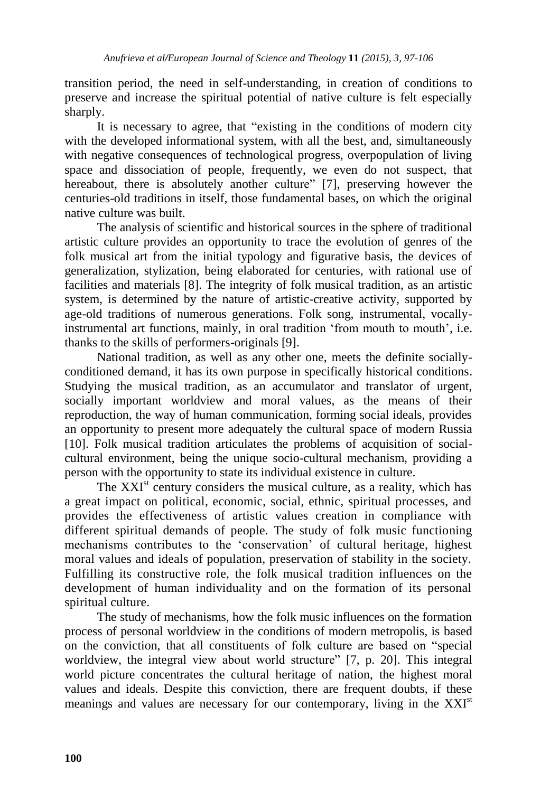transition period, the need in self-understanding, in creation of conditions to preserve and increase the spiritual potential of native culture is felt especially sharply.

It is necessary to agree, that "existing in the conditions of modern city with the developed informational system, with all the best, and, simultaneously with negative consequences of technological progress, overpopulation of living space and dissociation of people, frequently, we even do not suspect, that hereabout, there is absolutely another culture" [7], preserving however the centuries-old traditions in itself, those fundamental bases, on which the original native culture was built.

The analysis of scientific and historical sources in the sphere of traditional artistic culture provides an opportunity to trace the evolution of genres of the folk musical art from the initial typology and figurative basis, the devices of generalization, stylization, being elaborated for centuries, with rational use of facilities and materials [8]. The integrity of folk musical tradition, as an artistic system, is determined by the nature of artistic-creative activity, supported by age-old traditions of numerous generations. Folk song, instrumental, vocallyinstrumental art functions, mainly, in oral tradition 'from mouth to mouth', i.e. thanks to the skills of performers-originals [9].

National tradition, as well as any other one, meets the definite sociallyconditioned demand, it has its own purpose in specifically historical conditions. Studying the musical tradition, as an accumulator and translator of urgent, socially important worldview and moral values, as the means of their reproduction, the way of human communication, forming social ideals, provides an opportunity to present more adequately the cultural space of modern Russia [10]. Folk musical tradition articulates the problems of acquisition of socialcultural environment, being the unique socio-cultural mechanism, providing a person with the opportunity to state its individual existence in culture.

The  $XXI<sup>st</sup>$  century considers the musical culture, as a reality, which has a great impact on political, economic, social, ethnic, spiritual processes, and provides the effectiveness of artistic values creation in compliance with different spiritual demands of people. The study of folk music functioning mechanisms contributes to the "conservation" of cultural heritage, highest moral values and ideals of population, preservation of stability in the society. Fulfilling its constructive role, the folk musical tradition influences on the development of human individuality and on the formation of its personal spiritual culture.

The study of mechanisms, how the folk music influences on the formation process of personal worldview in the conditions of modern metropolis, is based on the conviction, that all constituents of folk culture are based on "special worldview, the integral view about world structure" [7, p. 20]. This integral world picture concentrates the cultural heritage of nation, the highest moral values and ideals. Despite this conviction, there are frequent doubts, if these meanings and values are necessary for our contemporary, living in the XXI<sup>st</sup>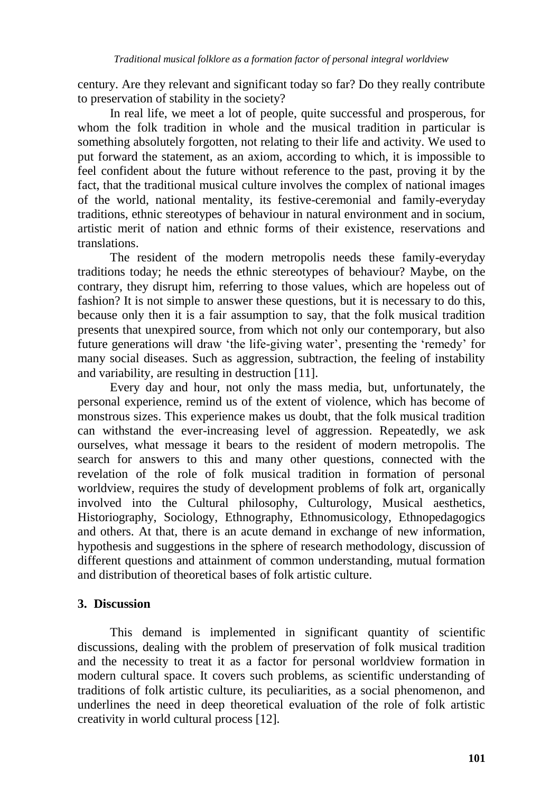century. Are they relevant and significant today so far? Do they really contribute to preservation of stability in the society?

In real life, we meet a lot of people, quite successful and prosperous, for whom the folk tradition in whole and the musical tradition in particular is something absolutely forgotten, not relating to their life and activity. We used to put forward the statement, as an axiom, according to which, it is impossible to feel confident about the future without reference to the past, proving it by the fact, that the traditional musical culture involves the complex of national images of the world, national mentality, its festive-ceremonial and family-everyday traditions, ethnic stereotypes of behaviour in natural environment and in socium, artistic merit of nation and ethnic forms of their existence, reservations and translations.

The resident of the modern metropolis needs these family-everyday traditions today; he needs the ethnic stereotypes of behaviour? Maybe, on the contrary, they disrupt him, referring to those values, which are hopeless out of fashion? It is not simple to answer these questions, but it is necessary to do this, because only then it is a fair assumption to say, that the folk musical tradition presents that unexpired source, from which not only our contemporary, but also future generations will draw "the life-giving water", presenting the "remedy" for many social diseases. Such as aggression, subtraction, the feeling of instability and variability, are resulting in destruction [11].

Every day and hour, not only the mass media, but, unfortunately, the personal experience, remind us of the extent of violence, which has become of monstrous sizes. This experience makes us doubt, that the folk musical tradition can withstand the ever-increasing level of aggression. Repeatedly, we ask ourselves, what message it bears to the resident of modern metropolis. The search for answers to this and many other questions, connected with the revelation of the role of folk musical tradition in formation of personal worldview, requires the study of development problems of folk art, organically involved into the Cultural philosophy, Culturology, Musical aesthetics, Historiography, Sociology, Ethnography, Ethnomusicology, Ethnopedagogics and others. At that, there is an acute demand in exchange of new information, hypothesis and suggestions in the sphere of research methodology, discussion of different questions and attainment of common understanding, mutual formation and distribution of theoretical bases of folk artistic culture.

## **3. Discussion**

This demand is implemented in significant quantity of scientific discussions, dealing with the problem of preservation of folk musical tradition and the necessity to treat it as a factor for personal worldview formation in modern cultural space. It covers such problems, as scientific understanding of traditions of folk artistic culture, its peculiarities, as a social phenomenon, and underlines the need in deep theoretical evaluation of the role of folk artistic creativity in world cultural process [12].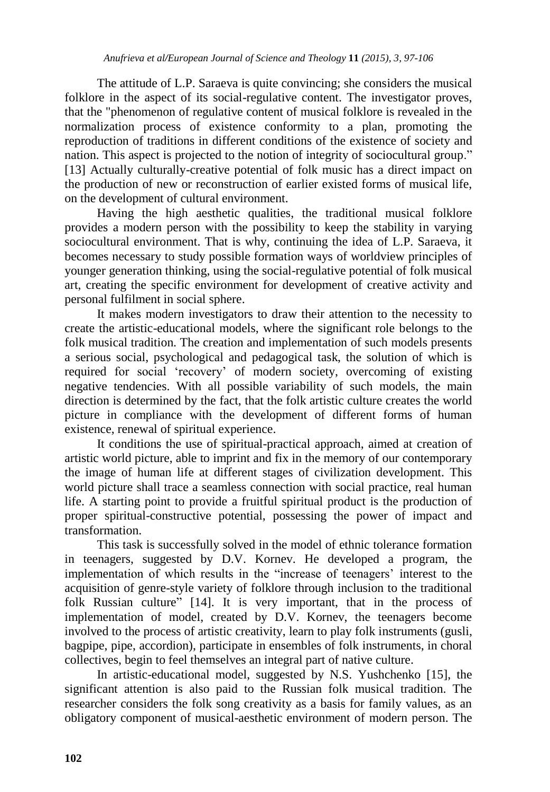The attitude of L.P. Saraeva is quite convincing; she considers the musical folklore in the aspect of its social-regulative content. The investigator proves, that the "phenomenon of regulative content of musical folklore is revealed in the normalization process of existence conformity to a plan, promoting the reproduction of traditions in different conditions of the existence of society and nation. This aspect is projected to the notion of integrity of sociocultural group." [13] Actually culturally-creative potential of folk music has a direct impact on the production of new or reconstruction of earlier existed forms of musical life, on the development of cultural environment.

Having the high aesthetic qualities, the traditional musical folklore provides a modern person with the possibility to keep the stability in varying sociocultural environment. That is why, continuing the idea of L.P. Saraeva, it becomes necessary to study possible formation ways of worldview principles of younger generation thinking, using the social-regulative potential of folk musical art, creating the specific environment for development of creative activity and personal fulfilment in social sphere.

It makes modern investigators to draw their attention to the necessity to create the artistic-educational models, where the significant role belongs to the folk musical tradition. The creation and implementation of such models presents a serious social, psychological and pedagogical task, the solution of which is required for social "recovery" of modern society, overcoming of existing negative tendencies. With all possible variability of such models, the main direction is determined by the fact, that the folk artistic culture creates the world picture in compliance with the development of different forms of human existence, renewal of spiritual experience.

It conditions the use of spiritual-practical approach, aimed at creation of artistic world picture, able to imprint and fix in the memory of our contemporary the image of human life at different stages of civilization development. This world picture shall trace a seamless connection with social practice, real human life. A starting point to provide a fruitful spiritual product is the production of proper spiritual-constructive potential, possessing the power of impact and transformation.

This task is successfully solved in the model of ethnic tolerance formation in teenagers, suggested by D.V. Kornev. He developed a program, the implementation of which results in the "increase of teenagers' interest to the acquisition of genre-style variety of folklore through inclusion to the traditional folk Russian culture" [14]. It is very important, that in the process of implementation of model, created by D.V. Kornev, the teenagers become involved to the process of artistic creativity, learn to play folk instruments (gusli, bagpipe, pipe, accordion), participate in ensembles of folk instruments, in choral collectives, begin to feel themselves an integral part of native culture.

In artistic-educational model, suggested by N.S. Yushchenko [15], the significant attention is also paid to the Russian folk musical tradition. The researcher considers the folk song creativity as a basis for family values, as an obligatory component of musical-aesthetic environment of modern person. The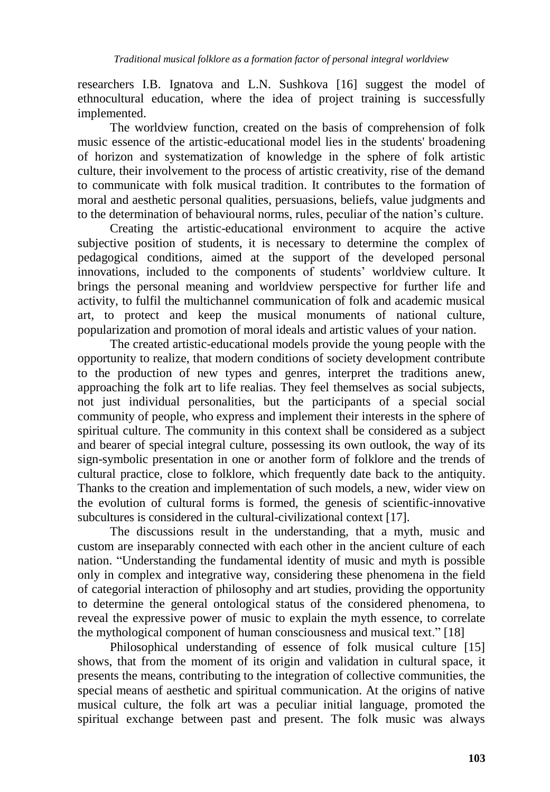researchers I.B. Ignatova and L.N. Sushkova [16] suggest the model of ethnocultural education, where the idea of project training is successfully implemented.

The worldview function, created on the basis of comprehension of folk music essence of the artistic-educational model lies in the students' broadening of horizon and systematization of knowledge in the sphere of folk artistic culture, their involvement to the process of artistic creativity, rise of the demand to communicate with folk musical tradition. It contributes to the formation of moral and aesthetic personal qualities, persuasions, beliefs, value judgments and to the determination of behavioural norms, rules, peculiar of the nation"s culture.

Creating the artistic-educational environment to acquire the active subjective position of students, it is necessary to determine the complex of pedagogical conditions, aimed at the support of the developed personal innovations, included to the components of students' worldview culture. It brings the personal meaning and worldview perspective for further life and activity, to fulfil the multichannel communication of folk and academic musical art, to protect and keep the musical monuments of national culture, popularization and promotion of moral ideals and artistic values of your nation.

The created artistic-educational models provide the young people with the opportunity to realize, that modern conditions of society development contribute to the production of new types and genres, interpret the traditions anew, approaching the folk art to life realias. They feel themselves as social subjects, not just individual personalities, but the participants of a special social community of people, who express and implement their interests in the sphere of spiritual culture. The community in this context shall be considered as a subject and bearer of special integral culture, possessing its own outlook, the way of its sign-symbolic presentation in one or another form of folklore and the trends of cultural practice, close to folklore, which frequently date back to the antiquity. Thanks to the creation and implementation of such models, a new, wider view on the evolution of cultural forms is formed, the genesis of scientific-innovative subcultures is considered in the cultural-civilizational context [17].

The discussions result in the understanding, that a myth, music and custom are inseparably connected with each other in the ancient culture of each nation. "Understanding the fundamental identity of music and myth is possible only in complex and integrative way, considering these phenomena in the field of categorial interaction of philosophy and art studies, providing the opportunity to determine the general ontological status of the considered phenomena, to reveal the expressive power of music to explain the myth essence, to correlate the mythological component of human consciousness and musical text." [18]

Philosophical understanding of essence of folk musical culture [15] shows, that from the moment of its origin and validation in cultural space, it presents the means, contributing to the integration of collective communities, the special means of aesthetic and spiritual communication. At the origins of native musical culture, the folk art was a peculiar initial language, promoted the spiritual exchange between past and present. The folk music was always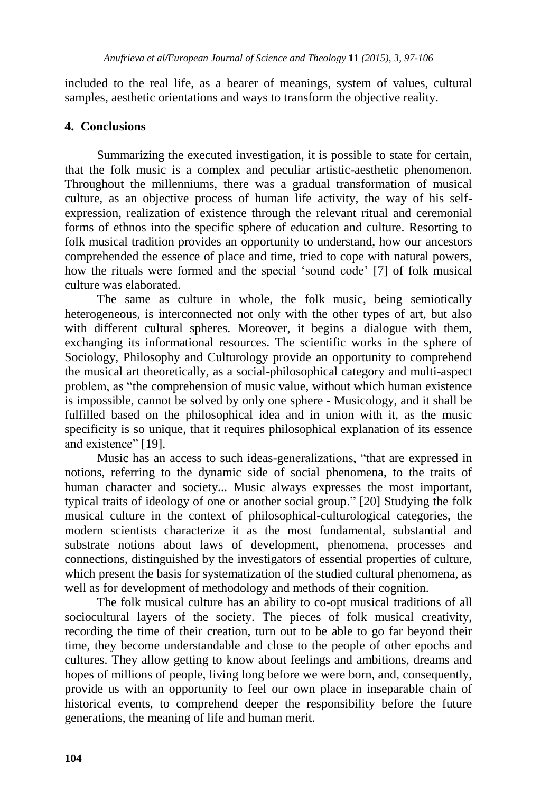included to the real life, as a bearer of meanings, system of values, cultural samples, aesthetic orientations and ways to transform the objective reality.

## **4. Conclusions**

Summarizing the executed investigation, it is possible to state for certain, that the folk music is a complex and peculiar artistic-aesthetic phenomenon. Throughout the millenniums, there was a gradual transformation of musical culture, as an objective process of human life activity, the way of his selfexpression, realization of existence through the relevant ritual and ceremonial forms of ethnos into the specific sphere of education and culture. Resorting to folk musical tradition provides an opportunity to understand, how our ancestors comprehended the essence of place and time, tried to cope with natural powers, how the rituals were formed and the special "sound code" [7] of folk musical culture was elaborated.

The same as culture in whole, the folk music, being semiotically heterogeneous, is interconnected not only with the other types of art, but also with different cultural spheres. Moreover, it begins a dialogue with them, exchanging its informational resources. The scientific works in the sphere of Sociology, Philosophy and Culturology provide an opportunity to comprehend the musical art theoretically, as a social-philosophical category and multi-aspect problem, as "the comprehension of music value, without which human existence is impossible, cannot be solved by only one sphere - Musicology, and it shall be fulfilled based on the philosophical idea and in union with it, as the music specificity is so unique, that it requires philosophical explanation of its essence and existence" [19].

Music has an access to such ideas-generalizations, "that are expressed in notions, referring to the dynamic side of social phenomena, to the traits of human character and society... Music always expresses the most important, typical traits of ideology of one or another social group." [20] Studying the folk musical culture in the context of philosophical-culturological categories, the modern scientists characterize it as the most fundamental, substantial and substrate notions about laws of development, phenomena, processes and connections, distinguished by the investigators of essential properties of culture, which present the basis for systematization of the studied cultural phenomena, as well as for development of methodology and methods of their cognition.

The folk musical culture has an ability to co-opt musical traditions of all sociocultural layers of the society. The pieces of folk musical creativity, recording the time of their creation, turn out to be able to go far beyond their time, they become understandable and close to the people of other epochs and cultures. They allow getting to know about feelings and ambitions, dreams and hopes of millions of people, living long before we were born, and, consequently, provide us with an opportunity to feel our own place in inseparable chain of historical events, to comprehend deeper the responsibility before the future generations, the meaning of life and human merit.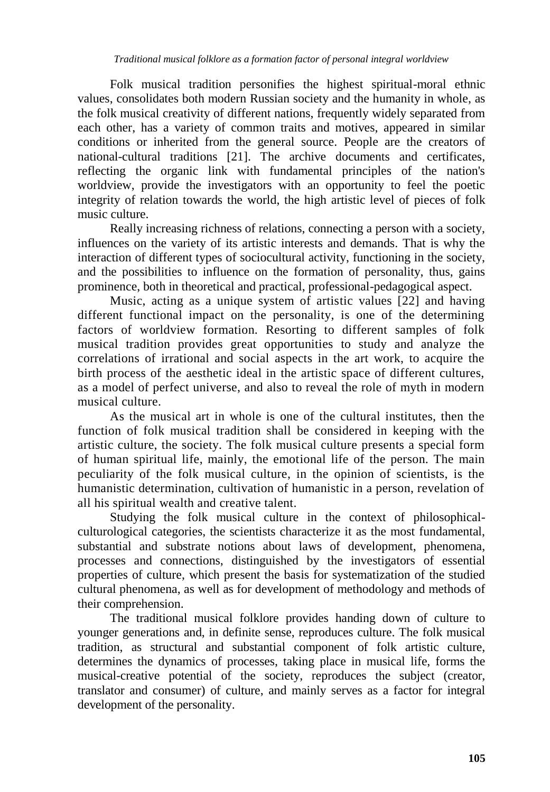Folk musical tradition personifies the highest spiritual-moral ethnic values, consolidates both modern Russian society and the humanity in whole, as the folk musical creativity of different nations, frequently widely separated from each other, has a variety of common traits and motives, appeared in similar conditions or inherited from the general source. People are the creators of national-cultural traditions [21]. The archive documents and certificates, reflecting the organic link with fundamental principles of the nation's worldview, provide the investigators with an opportunity to feel the poetic integrity of relation towards the world, the high artistic level of pieces of folk music culture.

Really increasing richness of relations, connecting a person with a society, influences on the variety of its artistic interests and demands. That is why the interaction of different types of sociocultural activity, functioning in the society, and the possibilities to influence on the formation of personality, thus, gains prominence, both in theoretical and practical, professional-pedagogical aspect.

Music, acting as a unique system of artistic values [22] and having different functional impact on the personality, is one of the determining factors of worldview formation. Resorting to different samples of folk musical tradition provides great opportunities to study and analyze the correlations of irrational and social aspects in the art work, to acquire the birth process of the aesthetic ideal in the artistic space of different cultures, as a model of perfect universe, and also to reveal the role of myth in modern musical culture.

As the musical art in whole is one of the cultural institutes, then the function of folk musical tradition shall be considered in keeping with the artistic culture, the society. The folk musical culture presents a special form of human spiritual life, mainly, the emotional life of the person. The main peculiarity of the folk musical culture, in the opinion of scientists, is the humanistic determination, cultivation of humanistic in a person, revelation of all his spiritual wealth and creative talent.

Studying the folk musical culture in the context of philosophicalculturological categories, the scientists characterize it as the most fundamental, substantial and substrate notions about laws of development, phenomena, processes and connections, distinguished by the investigators of essential properties of culture, which present the basis for systematization of the studied cultural phenomena, as well as for development of methodology and methods of their comprehension.

The traditional musical folklore provides handing down of culture to younger generations and, in definite sense, reproduces culture. The folk musical tradition, as structural and substantial component of folk artistic culture, determines the dynamics of processes, taking place in musical life, forms the musical-creative potential of the society, reproduces the subject (creator, translator and consumer) of culture, and mainly serves as a factor for integral development of the personality.